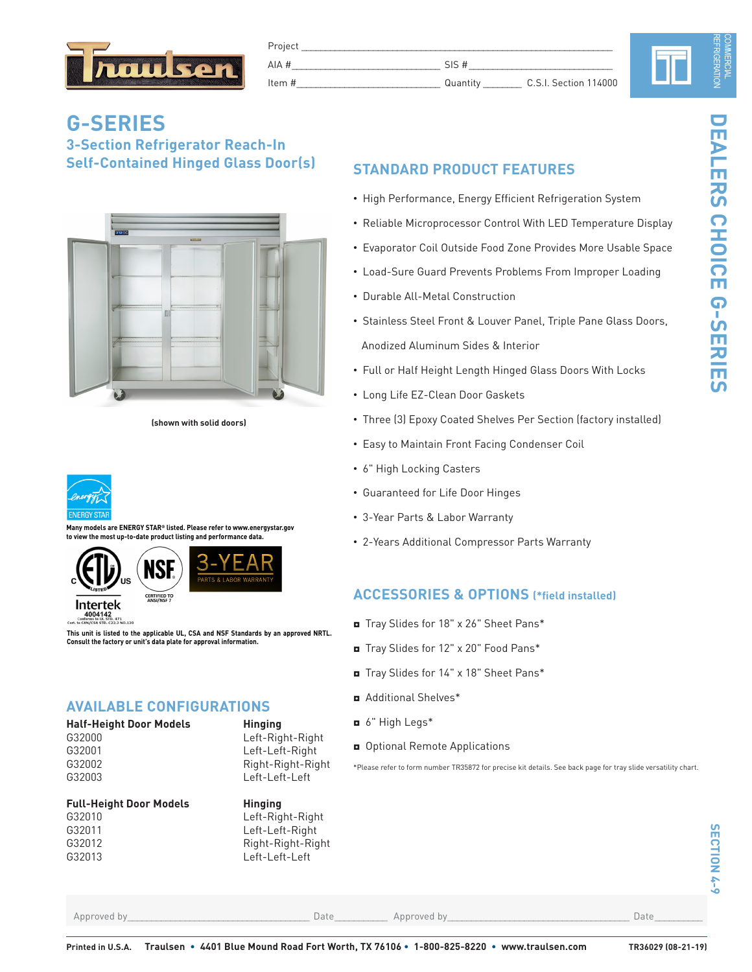

| וטעו<br>___        |         |                       |  |  |
|--------------------|---------|-----------------------|--|--|
| $A$ $A$            |         |                       |  |  |
| ttem.<br>_________ | Muanul. | C.S.I. Section 114000 |  |  |

## **G-SERIES 3-Section Refrigerator Reach-In Self-Contained Hinged Glass Door(s)**



**(shown with solid doors)**



**Many models are ENERGY STAR® listed. Please refer to www.energystar.gov to view the most up-to-date product listing and performance data.**





**This unit is listed to the applicable UL, CSA and NSF Standards by an approved NRTL. Consult the factory or unit's data plate for approval information.**

### **AVAILABLE CONFIGURATIONS**

| <b>Half-Height Door Models</b> | <b>Hinging</b>  |  |  |
|--------------------------------|-----------------|--|--|
| G32000                         | Left-Right-Righ |  |  |
| G32001                         | Left-Left-Right |  |  |
| G32002                         | Right-Right-Rig |  |  |

#### **Full-Height Door Models Hinging**



Left-Right-Right

Right-Right-Right

### **STANDARD PRODUCT FEATURES**

- High Performance, Energy Efficient Refrigeration System
- Reliable Microprocessor Control With LED Temperature Display
- Evaporator Coil Outside Food Zone Provides More Usable Space
- Load-Sure Guard Prevents Problems From Improper Loading
- Durable All-Metal Construction
- Stainless Steel Front & Louver Panel, Triple Pane Glass Doors, Anodized Aluminum Sides & Interior
- Full or Half Height Length Hinged Glass Doors With Locks
- Long Life EZ-Clean Door Gaskets
- Three (3) Epoxy Coated Shelves Per Section (factory installed)
- Easy to Maintain Front Facing Condenser Coil
- 6" High Locking Casters
- Guaranteed for Life Door Hinges
- 3-Year Parts & Labor Warranty
- 2-Years Additional Compressor Parts Warranty

### **ACCESSORIES & OPTIONS (\*field installed)**

- ◘ Tray Slides for 18" x 26" Sheet Pans\*
- ◘ Tray Slides for 12" x 20" Food Pans\*
- ◘ Tray Slides for 14" x 18" Sheet Pans\*
- ◘ Additional Shelves\*
- ◘ 6" High Legs\*
- ◘ Optional Remote Applications

\*Please refer to form number TR35872 for precise kit details. See back page for tray slide versatility chart.

Approved by\_\_\_\_\_\_\_\_\_\_\_\_\_\_\_\_\_\_\_\_\_\_\_\_\_\_\_\_\_\_\_\_\_\_\_\_\_\_ Date\_\_\_\_\_\_\_\_\_\_\_ Approved by\_\_\_\_\_\_\_\_\_\_\_\_\_\_\_\_\_\_\_\_\_\_\_\_\_\_\_\_\_\_\_\_\_\_\_\_\_\_ Date\_\_\_\_\_\_\_\_\_\_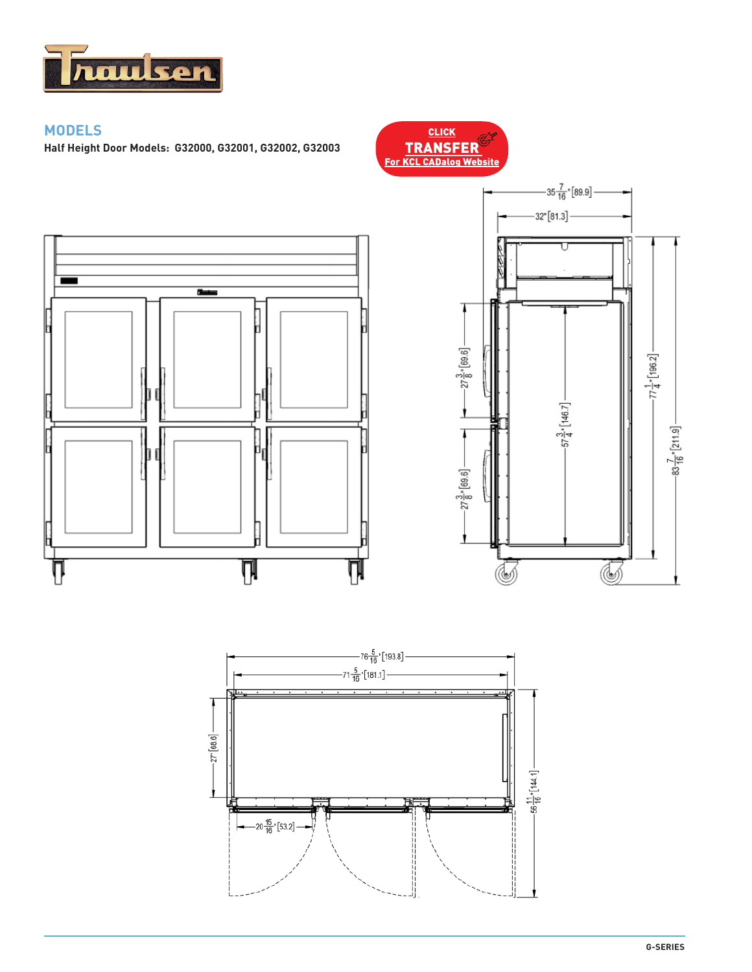

### **MODELS**

-

V

**Half Height Door Models: G32000, G32001, G32002, G32003**

 $T_{\rm{miss}}$ 

Π

Ņ



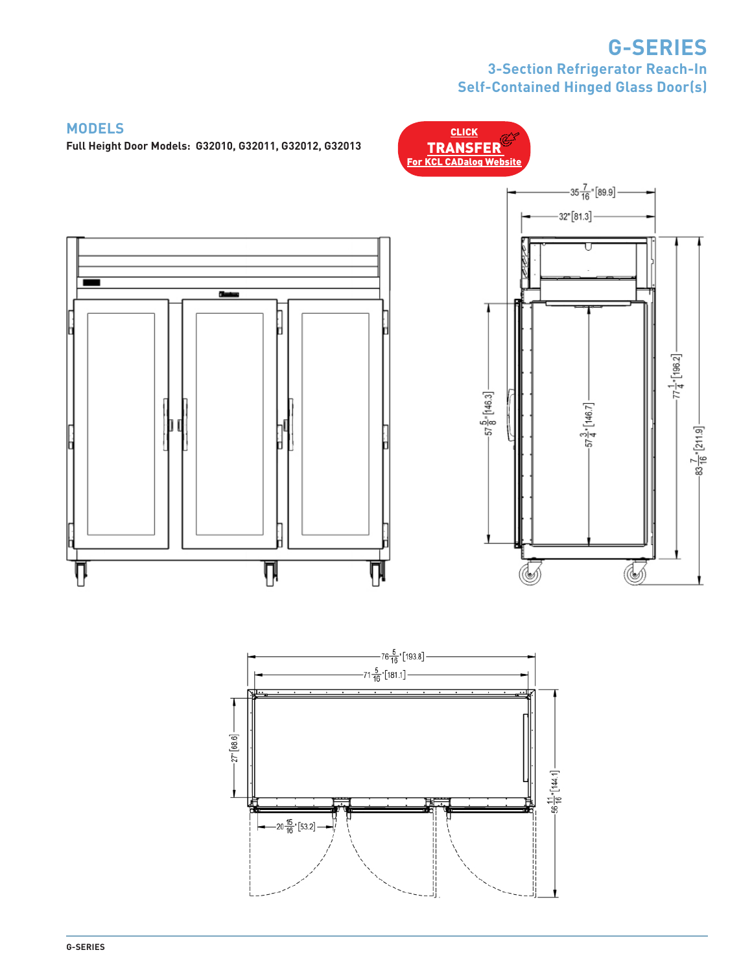# **G-SERIES 3-Section Refrigerator Reach-In Self-Contained Hinged Glass Door(s)**

**CLICK** 



Ţ

**Full Height Door Models: G32010, G32011, G32012, G32013**





**MODELS**